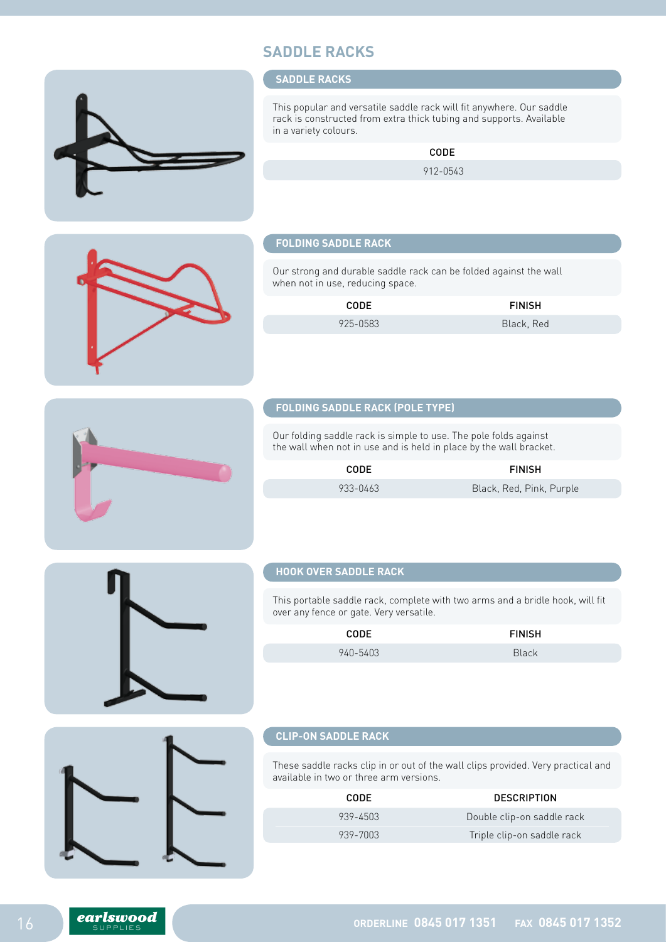# **SADDLE RACKS**

#### **SADDLE RACKS**

This popular and versatile saddle rack will fit anywhere. Our saddle rack is constructed from extra thick tubing and supports. Available in a variety colours.

CODE

912-0543

## **FOLDING SADDLE RACK**

Our strong and durable saddle rack can be folded against the wall when not in use, reducing space.

CODE FINISH

925-0583 Black, Red

## **FOLDING SADDLE RACK (POLE TYPE)**

Our folding saddle rack is simple to use. The pole folds against the wall when not in use and is held in place by the wall bracket.

| CODE.    | <b>FINISH</b>            |
|----------|--------------------------|
| 933-0463 | Black, Red, Pink, Purple |

#### **HOOK OVER SADDLE RACK**

This portable saddle rack, complete with two arms and a bridle hook, will fit over any fence or gate. Very versatile.

| <b>CODE</b> | <b>FINISH</b> |
|-------------|---------------|
| 940-5403    | <b>Black</b>  |

#### **CLIP-ON SADDLE RACK**

These saddle racks clip in or out of the wall clips provided. Very practical and available in two or three arm versions.

| CODE.    | <b>DESCRIPTION</b>         |
|----------|----------------------------|
| 939-4503 | Double clip-on saddle rack |
| 939-7003 | Triple clip-on saddle rack |





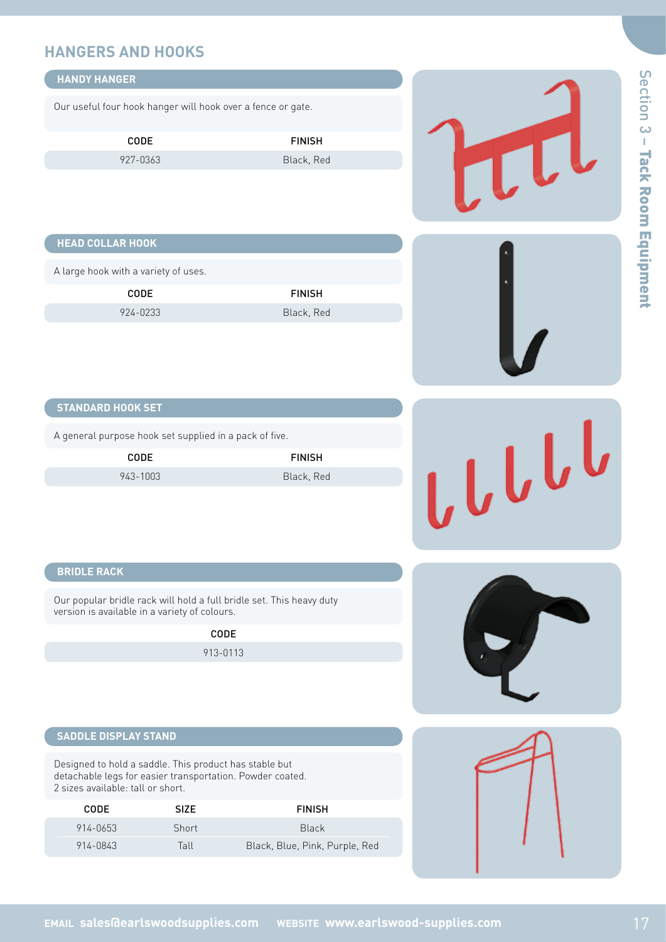# **HANGERS AND HOOKS**

| <b>HANDY HANGER</b>                                                                                                                                      |             |                                                                      |       |
|----------------------------------------------------------------------------------------------------------------------------------------------------------|-------------|----------------------------------------------------------------------|-------|
| Our useful four hook hanger will hook over a fence or gate.                                                                                              |             |                                                                      |       |
| CODE                                                                                                                                                     |             | <b>FINISH</b>                                                        |       |
| 927-0363                                                                                                                                                 |             | Black, Red                                                           | LL    |
| <b>HEAD COLLAR HOOK</b>                                                                                                                                  |             |                                                                      |       |
| A large hook with a variety of uses.                                                                                                                     |             |                                                                      |       |
| CODE                                                                                                                                                     |             | <b>FINISH</b>                                                        |       |
| 924-0233                                                                                                                                                 |             | Black, Red                                                           |       |
| <b>STANDARD HOOK SET</b>                                                                                                                                 |             |                                                                      |       |
| A general purpose hook set supplied in a pack of five.                                                                                                   |             |                                                                      |       |
| CODE                                                                                                                                                     |             | <b>FINISH</b>                                                        |       |
| 943-1003                                                                                                                                                 |             | Black, Red                                                           | LLLLL |
| <b>BRIDLE RACK</b>                                                                                                                                       |             |                                                                      |       |
| version is available in a variety of colours.                                                                                                            |             | Our popular bridle rack will hold a full bridle set. This heavy duty |       |
|                                                                                                                                                          | CODE        |                                                                      |       |
|                                                                                                                                                          | 913-0113    |                                                                      |       |
| <b>SADDLE DISPLAY STAND</b>                                                                                                                              |             |                                                                      |       |
| Designed to hold a saddle. This product has stable but<br>detachable legs for easier transportation. Powder coated.<br>2 sizes available: tall or short. |             |                                                                      |       |
| CODE                                                                                                                                                     | <b>SIZE</b> | <b>FINISH</b>                                                        |       |
| 914-0653                                                                                                                                                 | Short       | <b>Black</b>                                                         |       |
| 914-0843                                                                                                                                                 | Tall        | Black, Blue, Pink, Purple, Red                                       |       |
|                                                                                                                                                          |             |                                                                      |       |
|                                                                                                                                                          |             |                                                                      |       |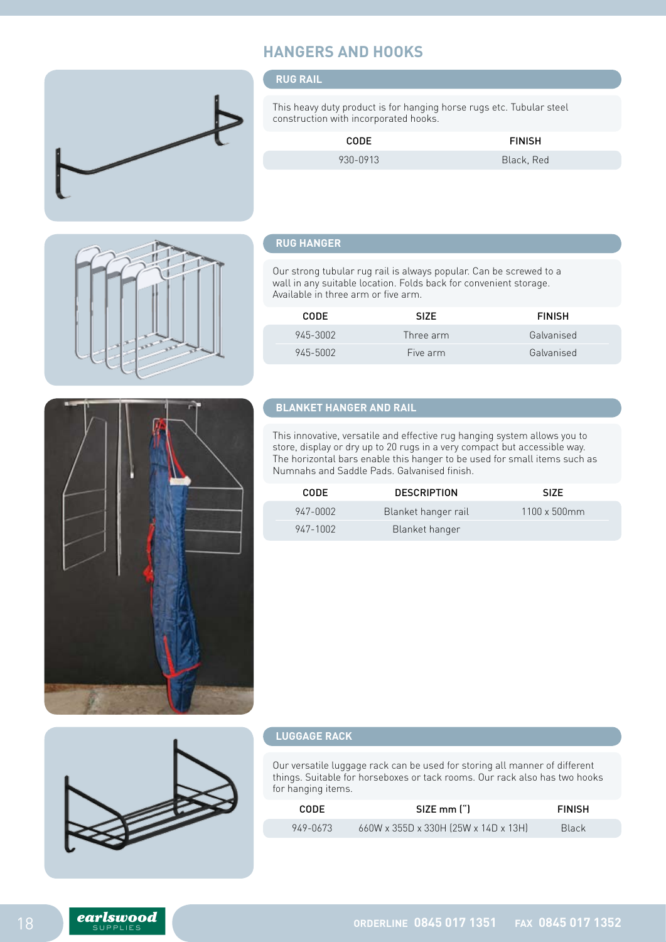# **HANGERS AND HOOKS**

### **RUG RAIL**

This heavy duty product is for hanging horse rugs etc. Tubular steel construction with incorporated hooks.

| CODE     | <b>FINISH</b> |
|----------|---------------|
| 930-0913 | Black, Red    |



## **RUG HANGER**

Our strong tubular rug rail is always popular. Can be screwed to a wall in any suitable location. Folds back for convenient storage. Available in three arm or five arm.

| CODE.    | SIZE.     | <b>FINISH</b> |
|----------|-----------|---------------|
| 945-3002 | Three arm | Galvanised    |
| 945-5002 | Five arm  | Galvanised    |

# **BLANKET HANGER AND RAIL**

This innovative, versatile and effective rug hanging system allows you to store, display or dry up to 20 rugs in a very compact but accessible way. The horizontal bars enable this hanger to be used for small items such as Numnahs and Saddle Pads. Galvanised finish.

| CODE.    | <b>DESCRIPTION</b>  | SI <sub>7</sub> F    |
|----------|---------------------|----------------------|
| 947-0002 | Blanket hanger rail | $1100 \times 500$ mm |
| 947-1002 | Blanket hanger      |                      |



### **LUGGAGE RACK**

Our versatile luggage rack can be used for storing all manner of different things. Suitable for horseboxes or tack rooms. Our rack also has two hooks for hanging items.

| <b>CODE</b> | SIZE mm (")                          | <b>FINISH</b> |
|-------------|--------------------------------------|---------------|
| 949-0673    | 660W x 355D x 330H (25W x 14D x 13H) | <b>Black</b>  |